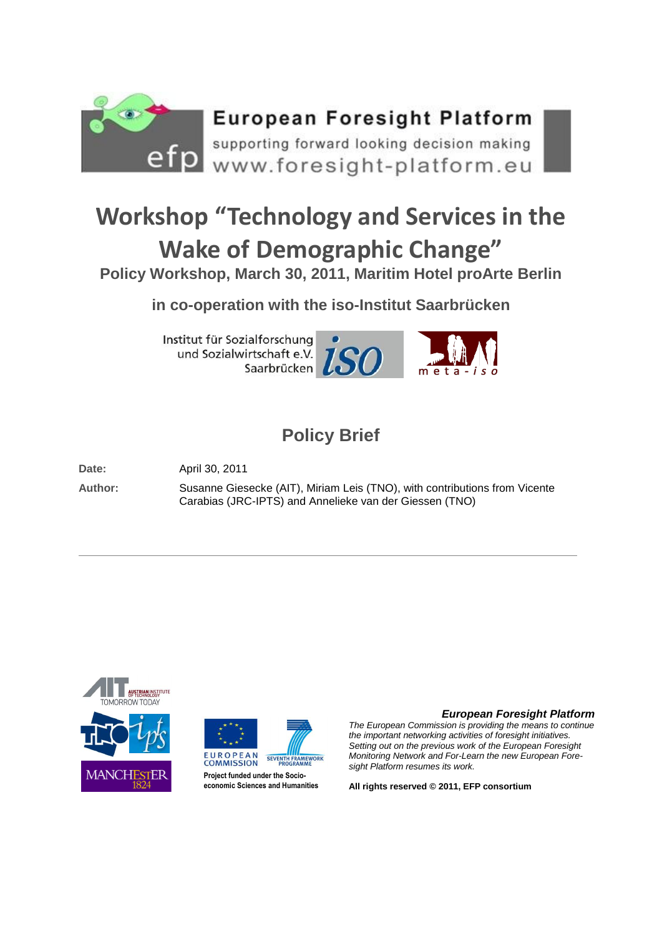

## **Workshop "Technology and Services in the Wake of Demographic Change"**

**Policy Workshop, March 30, 2011, Maritim Hotel proArte Berlin**

**in co-operation with the iso-Institut Saarbrücken** 

Institut für Sozialforschung und Sozialwirtschaft e.V. Saarbrücken





### **Policy Brief**

**Date:** April 30, 2011

**Author:** Susanne Giesecke (AIT), Miriam Leis (TNO), with contributions from Vicente Carabias (JRC-IPTS) and Annelieke van der Giessen (TNO)





#### *European Foresight Platform*

*The European Commission is providing the means to continue the important networking activities of foresight initiatives. Setting out on the previous work of the European Foresight Monitoring Network and For-Learn the new European Foresight Platform resumes its work.*

**All rights reserved © 2011, EFP consortium**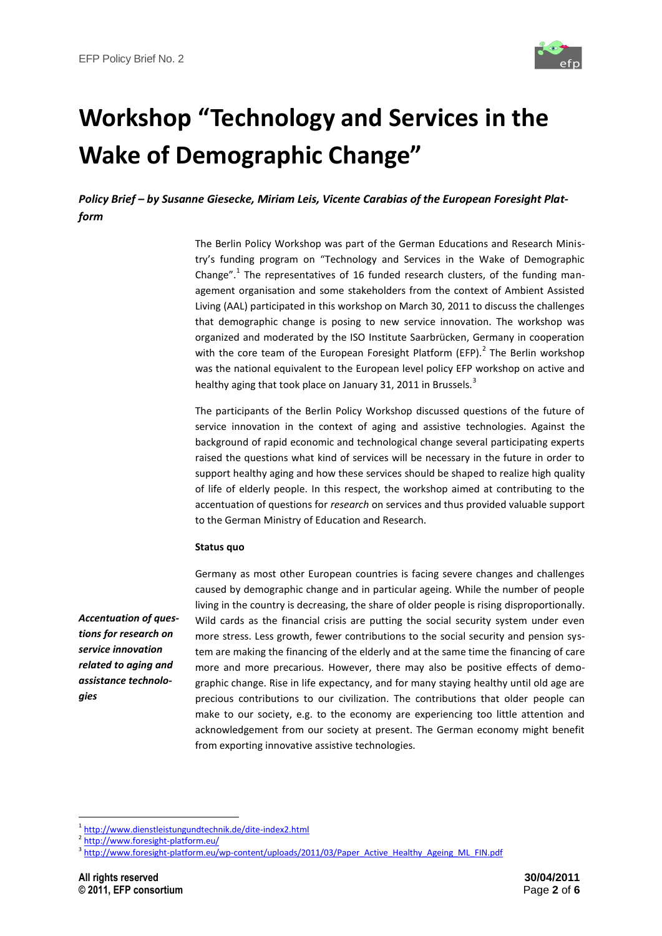

# **Workshop "Technology and Services in the Wake of Demographic Change"**

*Policy Brief – by Susanne Giesecke, Miriam Leis, Vicente Carabias of the European Foresight Platform*

> The Berlin Policy Workshop was part of the German Educations and Research Ministry's funding program on "Technology and Services in the Wake of Demographic Change".<sup>1</sup> The representatives of 16 funded research clusters, of the funding management organisation and some stakeholders from the context of Ambient Assisted Living (AAL) participated in this workshop on March 30, 2011 to discuss the challenges that demographic change is posing to new service innovation. The workshop was organized and moderated by the ISO Institute Saarbrücken, Germany in cooperation with the core team of the European Foresight Platform (EFP). $^2$  The Berlin workshop was the national equivalent to the European level policy EFP workshop on active and healthy aging that took place on January 31, 2011 in Brussels.<sup>3</sup>

> The participants of the Berlin Policy Workshop discussed questions of the future of service innovation in the context of aging and assistive technologies. Against the background of rapid economic and technological change several participating experts raised the questions what kind of services will be necessary in the future in order to support healthy aging and how these services should be shaped to realize high quality of life of elderly people. In this respect, the workshop aimed at contributing to the accentuation of questions for *research* on services and thus provided valuable support to the German Ministry of Education and Research.

#### **Status quo**

*Accentuation of questions for research on service innovation related to aging and assistance technologies*

Germany as most other European countries is facing severe changes and challenges caused by demographic change and in particular ageing. While the number of people living in the country is decreasing, the share of older people is rising disproportionally. Wild cards as the financial crisis are putting the social security system under even more stress. Less growth, fewer contributions to the social security and pension system are making the financing of the elderly and at the same time the financing of care more and more precarious. However, there may also be positive effects of demographic change. Rise in life expectancy, and for many staying healthy until old age are precious contributions to our civilization. The contributions that older people can make to our society, e.g. to the economy are experiencing too little attention and acknowledgement from our society at present. The German economy might benefit from exporting innovative assistive technologies.

**.** 

<sup>&</sup>lt;sup>1</sup> <http://www.dienstleistungundtechnik.de/dite-index2.html>

<sup>&</sup>lt;sup>2</sup> <http://www.foresight-platform.eu/>

<sup>&</sup>lt;sup>3</sup> [http://www.foresight-platform.eu/wp-content/uploads/2011/03/Paper\\_Active\\_Healthy\\_Ageing\\_ML\\_FIN.pdf](http://www.foresight-platform.eu/wp-content/uploads/2011/03/Paper_Active_Healthy_Ageing_ML_FIN.pdf)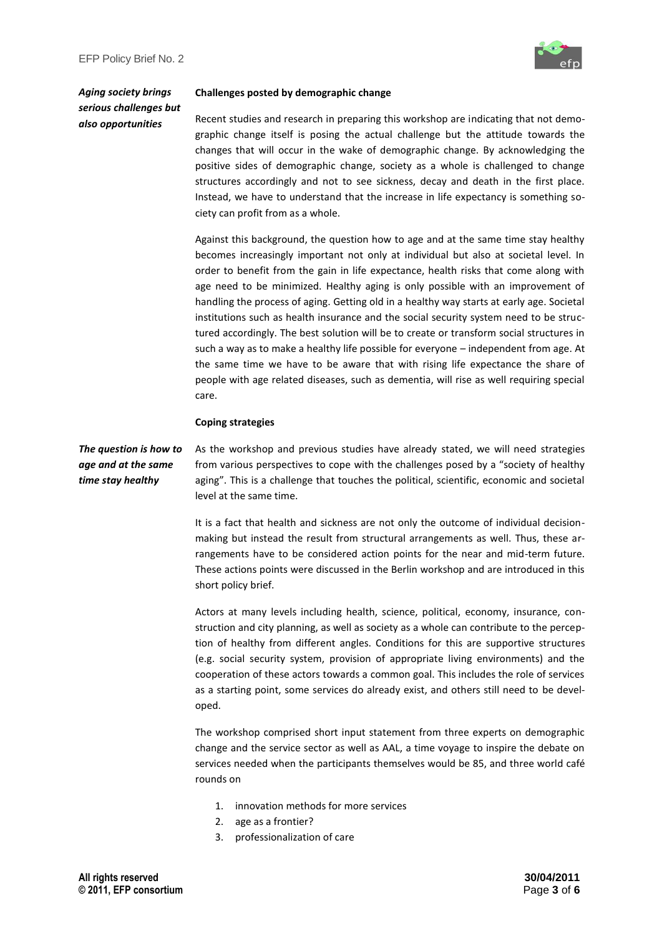

*Aging society brings serious challenges but also opportunities*

#### **Challenges posted by demographic change**

Recent studies and research in preparing this workshop are indicating that not demographic change itself is posing the actual challenge but the attitude towards the changes that will occur in the wake of demographic change. By acknowledging the positive sides of demographic change, society as a whole is challenged to change structures accordingly and not to see sickness, decay and death in the first place. Instead, we have to understand that the increase in life expectancy is something society can profit from as a whole.

Against this background, the question how to age and at the same time stay healthy becomes increasingly important not only at individual but also at societal level. In order to benefit from the gain in life expectance, health risks that come along with age need to be minimized. Healthy aging is only possible with an improvement of handling the process of aging. Getting old in a healthy way starts at early age. Societal institutions such as health insurance and the social security system need to be structured accordingly. The best solution will be to create or transform social structures in such a way as to make a healthy life possible for everyone – independent from age. At the same time we have to be aware that with rising life expectance the share of people with age related diseases, such as dementia, will rise as well requiring special care.

#### **Coping strategies**

*The question is how to age and at the same time stay healthy*

As the workshop and previous studies have already stated, we will need strategies from various perspectives to cope with the challenges posed by a "society of healthy aging". This is a challenge that touches the political, scientific, economic and societal level at the same time.

It is a fact that health and sickness are not only the outcome of individual decisionmaking but instead the result from structural arrangements as well. Thus, these arrangements have to be considered action points for the near and mid-term future. These actions points were discussed in the Berlin workshop and are introduced in this short policy brief.

Actors at many levels including health, science, political, economy, insurance, construction and city planning, as well as society as a whole can contribute to the perception of healthy from different angles. Conditions for this are supportive structures (e.g. social security system, provision of appropriate living environments) and the cooperation of these actors towards a common goal. This includes the role of services as a starting point, some services do already exist, and others still need to be developed.

The workshop comprised short input statement from three experts on demographic change and the service sector as well as AAL, a time voyage to inspire the debate on services needed when the participants themselves would be 85, and three world café rounds on

- 1. innovation methods for more services
- 2. age as a frontier?
- 3. professionalization of care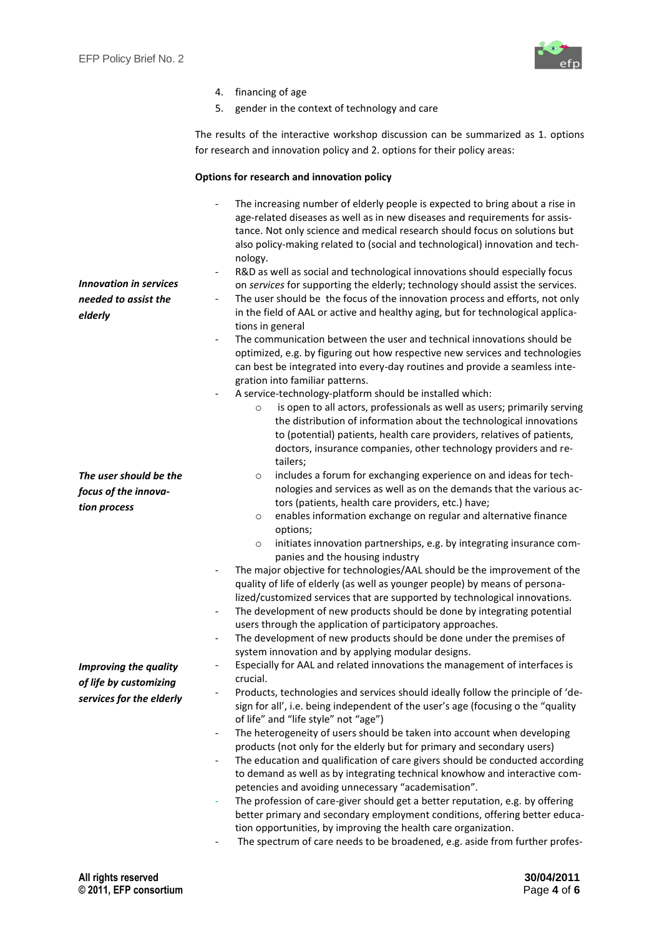

| 4. | financing of age |  |  |
|----|------------------|--|--|
|----|------------------|--|--|

5. gender in the context of technology and care

The results of the interactive workshop discussion can be summarized as 1. options for research and innovation policy and 2. options for their policy areas:

#### **Options for research and innovation policy**

| <b>Innovation in services</b><br>needed to assist the<br>elderly | The increasing number of elderly people is expected to bring about a rise in<br>$\qquad \qquad \blacksquare$<br>age-related diseases as well as in new diseases and requirements for assis-<br>tance. Not only science and medical research should focus on solutions but<br>also policy-making related to (social and technological) innovation and tech-<br>nology.<br>R&D as well as social and technological innovations should especially focus<br>$\qquad \qquad -$<br>on services for supporting the elderly; technology should assist the services.<br>The user should be the focus of the innovation process and efforts, not only<br>$\overline{\phantom{0}}$<br>in the field of AAL or active and healthy aging, but for technological applica-<br>tions in general                                                        |
|------------------------------------------------------------------|---------------------------------------------------------------------------------------------------------------------------------------------------------------------------------------------------------------------------------------------------------------------------------------------------------------------------------------------------------------------------------------------------------------------------------------------------------------------------------------------------------------------------------------------------------------------------------------------------------------------------------------------------------------------------------------------------------------------------------------------------------------------------------------------------------------------------------------|
|                                                                  | The communication between the user and technical innovations should be<br>optimized, e.g. by figuring out how respective new services and technologies<br>can best be integrated into every-day routines and provide a seamless inte-<br>gration into familiar patterns.                                                                                                                                                                                                                                                                                                                                                                                                                                                                                                                                                              |
|                                                                  | A service-technology-platform should be installed which:<br>is open to all actors, professionals as well as users; primarily serving<br>$\circ$<br>the distribution of information about the technological innovations<br>to (potential) patients, health care providers, relatives of patients,<br>doctors, insurance companies, other technology providers and re-<br>tailers;                                                                                                                                                                                                                                                                                                                                                                                                                                                      |
| The user should be the                                           | includes a forum for exchanging experience on and ideas for tech-<br>$\circ$                                                                                                                                                                                                                                                                                                                                                                                                                                                                                                                                                                                                                                                                                                                                                          |
| focus of the innova-                                             | nologies and services as well as on the demands that the various ac-                                                                                                                                                                                                                                                                                                                                                                                                                                                                                                                                                                                                                                                                                                                                                                  |
| tion process                                                     | tors (patients, health care providers, etc.) have;<br>enables information exchange on regular and alternative finance                                                                                                                                                                                                                                                                                                                                                                                                                                                                                                                                                                                                                                                                                                                 |
|                                                                  | $\circ$<br>options;<br>initiates innovation partnerships, e.g. by integrating insurance com-<br>$\circ$<br>panies and the housing industry<br>The major objective for technologies/AAL should be the improvement of the<br>$\qquad \qquad \blacksquare$<br>quality of life of elderly (as well as younger people) by means of persona-<br>lized/customized services that are supported by technological innovations.<br>The development of new products should be done by integrating potential<br>$\overline{\phantom{a}}$<br>users through the application of participatory approaches.<br>The development of new products should be done under the premises of<br>$\qquad \qquad \blacksquare$<br>system innovation and by applying modular designs.<br>Especially for AAL and related innovations the management of interfaces is |
| <b>Improving the quality</b>                                     | crucial.                                                                                                                                                                                                                                                                                                                                                                                                                                                                                                                                                                                                                                                                                                                                                                                                                              |
| of life by customizing<br>services for the elderly               | Products, technologies and services should ideally follow the principle of 'de-<br>sign for all', i.e. being independent of the user's age (focusing o the "quality<br>of life" and "life style" not "age")                                                                                                                                                                                                                                                                                                                                                                                                                                                                                                                                                                                                                           |
|                                                                  | The heterogeneity of users should be taken into account when developing<br>products (not only for the elderly but for primary and secondary users)<br>The education and qualification of care givers should be conducted according<br>$\overline{\phantom{a}}$<br>to demand as well as by integrating technical knowhow and interactive com-<br>petencies and avoiding unnecessary "academisation".<br>The profession of care-giver should get a better reputation, e.g. by offering<br>better primary and secondary employment conditions, offering better educa-<br>tion opportunities, by improving the health care organization.<br>The spectrum of care needs to be broadened, e.g. aside from further profes-                                                                                                                   |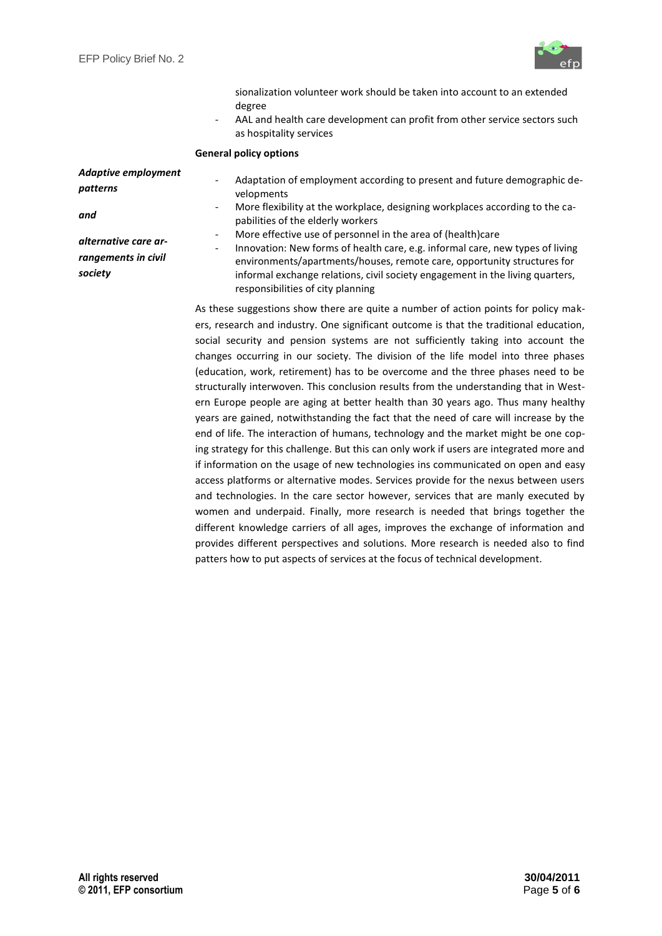

|                                        | sionalization volunteer work should be taken into account to an extended<br>degree<br>AAL and health care development can profit from other service sectors such<br>as hospitality services                                                                                                                                                                                                                                                                                                                                                                                                                                                                                                                                                                                                                                                                                                                                                                                                |  |  |
|----------------------------------------|--------------------------------------------------------------------------------------------------------------------------------------------------------------------------------------------------------------------------------------------------------------------------------------------------------------------------------------------------------------------------------------------------------------------------------------------------------------------------------------------------------------------------------------------------------------------------------------------------------------------------------------------------------------------------------------------------------------------------------------------------------------------------------------------------------------------------------------------------------------------------------------------------------------------------------------------------------------------------------------------|--|--|
|                                        | <b>General policy options</b>                                                                                                                                                                                                                                                                                                                                                                                                                                                                                                                                                                                                                                                                                                                                                                                                                                                                                                                                                              |  |  |
| <b>Adaptive employment</b><br>patterns | Adaptation of employment according to present and future demographic de-<br>$\overline{\phantom{a}}$<br>velopments<br>More flexibility at the workplace, designing workplaces according to the ca-<br>$\overline{\phantom{0}}$                                                                                                                                                                                                                                                                                                                                                                                                                                                                                                                                                                                                                                                                                                                                                             |  |  |
| and                                    | pabilities of the elderly workers                                                                                                                                                                                                                                                                                                                                                                                                                                                                                                                                                                                                                                                                                                                                                                                                                                                                                                                                                          |  |  |
| alternative care ar-                   | More effective use of personnel in the area of (health)care                                                                                                                                                                                                                                                                                                                                                                                                                                                                                                                                                                                                                                                                                                                                                                                                                                                                                                                                |  |  |
| rangements in civil                    | Innovation: New forms of health care, e.g. informal care, new types of living<br>$\overline{\phantom{0}}$<br>environments/apartments/houses, remote care, opportunity structures for                                                                                                                                                                                                                                                                                                                                                                                                                                                                                                                                                                                                                                                                                                                                                                                                       |  |  |
| society                                | informal exchange relations, civil society engagement in the living quarters,<br>responsibilities of city planning                                                                                                                                                                                                                                                                                                                                                                                                                                                                                                                                                                                                                                                                                                                                                                                                                                                                         |  |  |
|                                        | As these suggestions show there are quite a number of action points for policy mak-<br>ers, research and industry. One significant outcome is that the traditional education,<br>social security and pension systems are not sufficiently taking into account the<br>changes occurring in our society. The division of the life model into three phases<br>(education, work, retirement) has to be overcome and the three phases need to be<br>structurally interwoven. This conclusion results from the understanding that in West-<br>ern Europe people are aging at better health than 30 years ago. Thus many healthy<br>years are gained, notwithstanding the fact that the need of care will increase by the<br>end of life. The interaction of humans, technology and the market might be one cop-<br>ing strategy for this challenge. But this can only work if users are integrated more and<br>if information on the usage of new technologies ins communicated on open and easy |  |  |

access platforms or alternative modes. Services provide for the nexus between users and technologies. In the care sector however, services that are manly executed by women and underpaid. Finally, more research is needed that brings together the different knowledge carriers of all ages, improves the exchange of information and provides different perspectives and solutions. More research is needed also to find

patters how to put aspects of services at the focus of technical development.